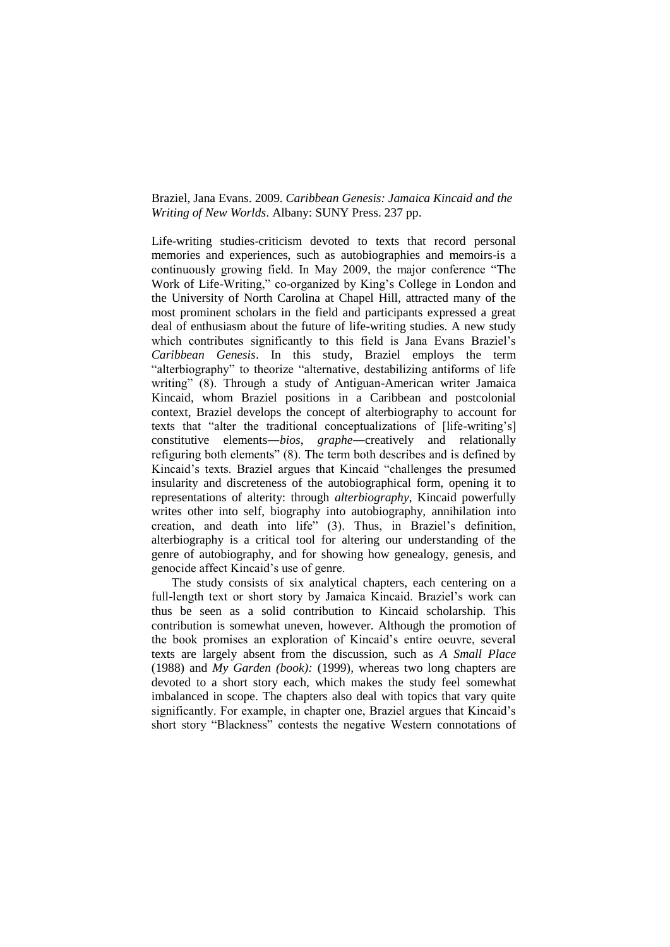## Braziel, Jana Evans. 2009. *Caribbean Genesis: Jamaica Kincaid and the Writing of New Worlds*. Albany: SUNY Press. 237 pp.

Life-writing studies-criticism devoted to texts that record personal memories and experiences, such as autobiographies and memoirs-is a continuously growing field. In May 2009, the major conference "The Work of Life-Writing," co-organized by King's College in London and the University of North Carolina at Chapel Hill, attracted many of the most prominent scholars in the field and participants expressed a great deal of enthusiasm about the future of life-writing studies. A new study which contributes significantly to this field is Jana Evans Braziel's *Caribbean Genesis*. In this study, Braziel employs the term "alterbiography" to theorize "alternative, destabilizing antiforms of life writing" (8). Through a study of Antiguan-American writer Jamaica Kincaid, whom Braziel positions in a Caribbean and postcolonial context, Braziel develops the concept of alterbiography to account for texts that "alter the traditional conceptualizations of [life-writing's] constitutive elements―*bios*, *graphe*―creatively and relationally refiguring both elements" (8). The term both describes and is defined by Kincaid's texts. Braziel argues that Kincaid "challenges the presumed insularity and discreteness of the autobiographical form, opening it to representations of alterity: through *alterbiography*, Kincaid powerfully writes other into self, biography into autobiography, annihilation into creation, and death into life" (3). Thus, in Braziel's definition, alterbiography is a critical tool for altering our understanding of the genre of autobiography, and for showing how genealogy, genesis, and genocide affect Kincaid's use of genre.

The study consists of six analytical chapters, each centering on a full-length text or short story by Jamaica Kincaid. Braziel's work can thus be seen as a solid contribution to Kincaid scholarship. This contribution is somewhat uneven, however. Although the promotion of the book promises an exploration of Kincaid's entire oeuvre, several texts are largely absent from the discussion, such as *A Small Place* (1988) and *My Garden (book):* (1999)*,* whereas two long chapters are devoted to a short story each, which makes the study feel somewhat imbalanced in scope. The chapters also deal with topics that vary quite significantly. For example, in chapter one, Braziel argues that Kincaid's short story "Blackness" contests the negative Western connotations of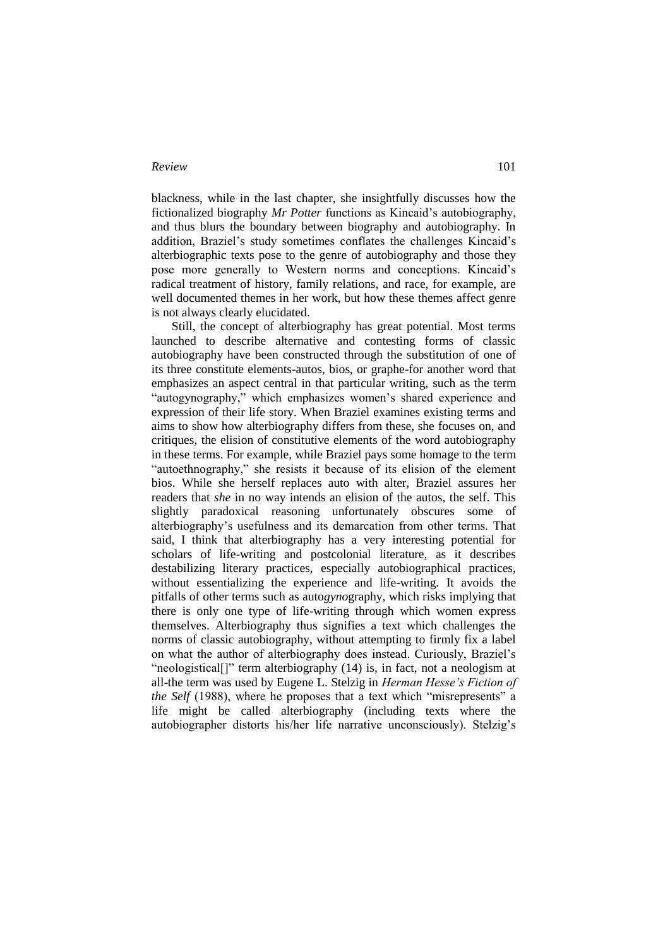## *Review* 101

blackness, while in the last chapter, she insightfully discusses how the fictionalized biography *Mr Potter* functions as Kincaid's autobiography, and thus blurs the boundary between biography and autobiography. In addition, Braziel's study sometimes conflates the challenges Kincaid's alterbiographic texts pose to the genre of autobiography and those they pose more generally to Western norms and conceptions. Kincaid's radical treatment of history, family relations, and race, for example, are well documented themes in her work, but how these themes affect genre is not always clearly elucidated.

Still, the concept of alterbiography has great potential. Most terms launched to describe alternative and contesting forms of classic autobiography have been constructed through the substitution of one of its three constitute elements-autos, bios, or graphe-for another word that emphasizes an aspect central in that particular writing, such as the term "autogynography," which emphasizes women's shared experience and expression of their life story. When Braziel examines existing terms and aims to show how alterbiography differs from these, she focuses on, and critiques, the elision of constitutive elements of the word autobiography in these terms. For example, while Braziel pays some homage to the term "autoethnography," she resists it because of its elision of the element bios. While she herself replaces auto with alter, Braziel assures her readers that *she* in no way intends an elision of the autos, the self. This slightly paradoxical reasoning unfortunately obscures some of alterbiography's usefulness and its demarcation from other terms. That said, I think that alterbiography has a very interesting potential for scholars of life-writing and postcolonial literature, as it describes destabilizing literary practices, especially autobiographical practices, without essentializing the experience and life-writing. It avoids the pitfalls of other terms such as auto*gyno*graphy, which risks implying that there is only one type of life-writing through which women express themselves. Alterbiography thus signifies a text which challenges the norms of classic autobiography, without attempting to firmly fix a label on what the author of alterbiography does instead. Curiously, Braziel's "neologistical[]" term alterbiography (14) is, in fact, not a neologism at all-the term was used by Eugene L. Stelzig in *Herman Hesse's Fiction of the Self* (1988), where he proposes that a text which "misrepresents" a life might be called alterbiography (including texts where the autobiographer distorts his/her life narrative unconsciously). Stelzig's